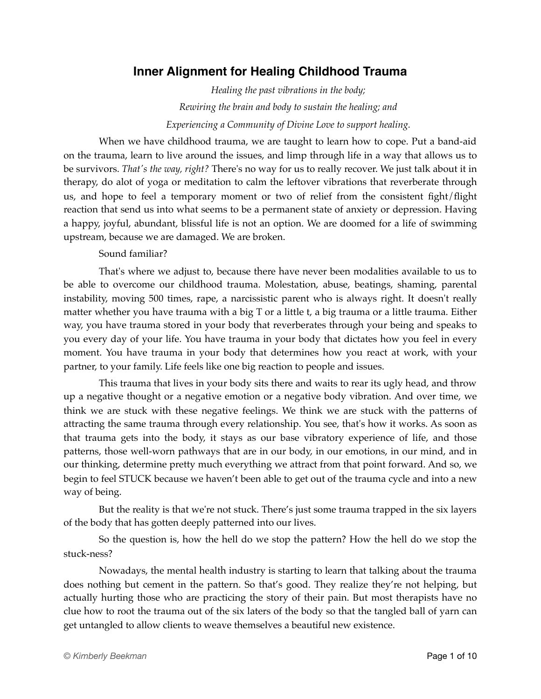## **Inner Alignment for Healing Childhood Trauma**

*Healing the past vibrations in the body; Rewiring the brain and body to sustain the healing; and Experiencing a Community of Divine Love to support healing.*

When we have childhood trauma, we are taught to learn how to cope. Put a band-aid on the trauma, learn to live around the issues, and limp through life in a way that allows us to be survivors. *That's the way, right?* There's no way for us to really recover. We just talk about it in therapy, do alot of yoga or meditation to calm the leftover vibrations that reverberate through us, and hope to feel a temporary moment or two of relief from the consistent fight/flight reaction that send us into what seems to be a permanent state of anxiety or depression. Having a happy, joyful, abundant, blissful life is not an option. We are doomed for a life of swimming upstream, because we are damaged. We are broken.

#### Sound familiar?

That's where we adjust to, because there have never been modalities available to us to be able to overcome our childhood trauma. Molestation, abuse, beatings, shaming, parental instability, moving 500 times, rape, a narcissistic parent who is always right. It doesn't really matter whether you have trauma with a big T or a little t, a big trauma or a little trauma. Either way, you have trauma stored in your body that reverberates through your being and speaks to you every day of your life. You have trauma in your body that dictates how you feel in every moment. You have trauma in your body that determines how you react at work, with your partner, to your family. Life feels like one big reaction to people and issues.

This trauma that lives in your body sits there and waits to rear its ugly head, and throw up a negative thought or a negative emotion or a negative body vibration. And over time, we think we are stuck with these negative feelings. We think we are stuck with the patterns of attracting the same trauma through every relationship. You see, that's how it works. As soon as that trauma gets into the body, it stays as our base vibratory experience of life, and those patterns, those well-worn pathways that are in our body, in our emotions, in our mind, and in our thinking, determine pretty much everything we attract from that point forward. And so, we begin to feel STUCK because we haven't been able to get out of the trauma cycle and into a new way of being.

But the reality is that we're not stuck. There's just some trauma trapped in the six layers of the body that has gotten deeply patterned into our lives.

So the question is, how the hell do we stop the pattern? How the hell do we stop the stuck-ness?

Nowadays, the mental health industry is starting to learn that talking about the trauma does nothing but cement in the pattern. So that's good. They realize they're not helping, but actually hurting those who are practicing the story of their pain. But most therapists have no clue how to root the trauma out of the six laters of the body so that the tangled ball of yarn can get untangled to allow clients to weave themselves a beautiful new existence.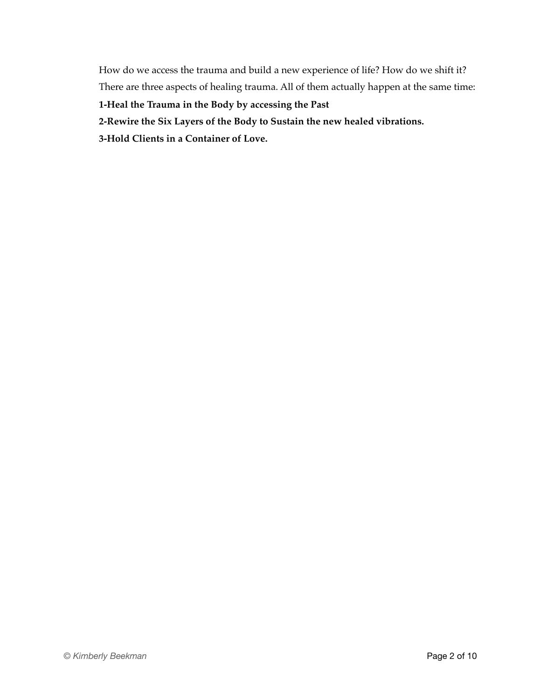How do we access the trauma and build a new experience of life? How do we shift it? There are three aspects of healing trauma. All of them actually happen at the same time:

**1-Heal the Trauma in the Body by accessing the Past**

**2-Rewire the Six Layers of the Body to Sustain the new healed vibrations.** 

**3-Hold Clients in a Container of Love.**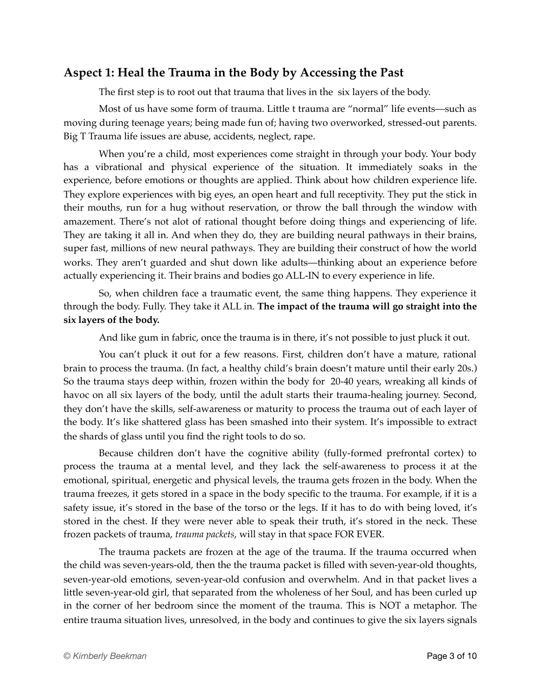### **Aspect 1: Heal the Trauma in the Body by Accessing the Past**

The first step is to root out that trauma that lives in the six layers of the body.

Most of us have some form of trauma. Little t trauma are "normal" life events—such as moving during teenage years; being made fun of; having two overworked, stressed-out parents. Big T Trauma life issues are abuse, accidents, neglect, rape.

When you're a child, most experiences come straight in through your body. Your body has a vibrational and physical experience of the situation. It immediately soaks in the experience, before emotions or thoughts are applied. Think about how children experience life. They explore experiences with big eyes, an open heart and full receptivity. They put the stick in their mouths, run for a hug without reservation, or throw the ball through the window with amazement. There's not alot of rational thought before doing things and experiencing of life. They are taking it all in. And when they do, they are building neural pathways in their brains, super fast, millions of new neural pathways. They are building their construct of how the world works. They aren't guarded and shut down like adults—thinking about an experience before actually experiencing it. Their brains and bodies go ALL-IN to every experience in life.

So, when children face a traumatic event, the same thing happens. They experience it through the body. Fully. They take it ALL in. **The impact of the trauma will go straight into the six layers of the body.**

And like gum in fabric, once the trauma is in there, it's not possible to just pluck it out.

You can't pluck it out for a few reasons. First, children don't have a mature, rational brain to process the trauma. (In fact, a healthy child's brain doesn't mature until their early 20s.) So the trauma stays deep within, frozen within the body for 20-40 years, wreaking all kinds of havoc on all six layers of the body, until the adult starts their trauma-healing journey. Second, they don't have the skills, self-awareness or maturity to process the trauma out of each layer of the body. It's like shattered glass has been smashed into their system. It's impossible to extract the shards of glass until you find the right tools to do so.

Because children don't have the cognitive ability (fully-formed prefrontal cortex) to process the trauma at a mental level, and they lack the self-awareness to process it at the emotional, spiritual, energetic and physical levels, the trauma gets frozen in the body. When the trauma freezes, it gets stored in a space in the body specific to the trauma. For example, if it is a safety issue, it's stored in the base of the torso or the legs. If it has to do with being loved, it's stored in the chest. If they were never able to speak their truth, it's stored in the neck. These frozen packets of trauma, *trauma packets*, will stay in that space FOR EVER.

The trauma packets are frozen at the age of the trauma. If the trauma occurred when the child was seven-years-old, then the the trauma packet is filled with seven-year-old thoughts, seven-year-old emotions, seven-year-old confusion and overwhelm. And in that packet lives a little seven-year-old girl, that separated from the wholeness of her Soul, and has been curled up in the corner of her bedroom since the moment of the trauma. This is NOT a metaphor. The entire trauma situation lives, unresolved, in the body and continues to give the six layers signals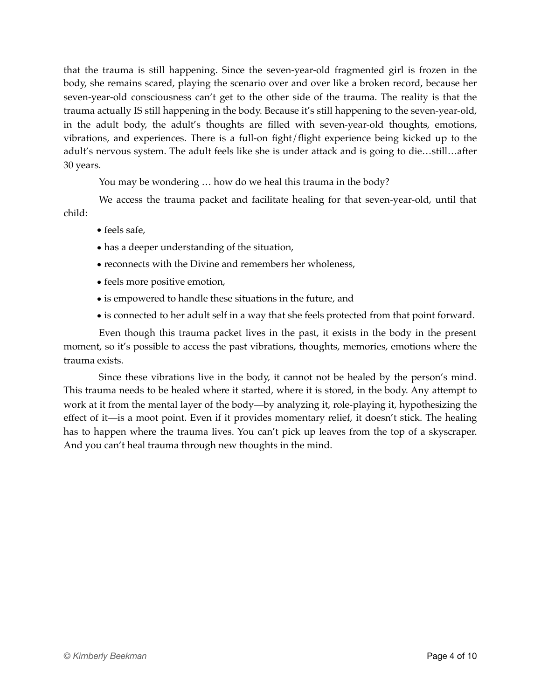that the trauma is still happening. Since the seven-year-old fragmented girl is frozen in the body, she remains scared, playing the scenario over and over like a broken record, because her seven-year-old consciousness can't get to the other side of the trauma. The reality is that the trauma actually IS still happening in the body. Because it's still happening to the seven-year-old, in the adult body, the adult's thoughts are filled with seven-year-old thoughts, emotions, vibrations, and experiences. There is a full-on fight/flight experience being kicked up to the adult's nervous system. The adult feels like she is under attack and is going to die…still…after 30 years.

You may be wondering … how do we heal this trauma in the body?

We access the trauma packet and facilitate healing for that seven-year-old, until that child:

- feels safe,
- has a deeper understanding of the situation,
- reconnects with the Divine and remembers her wholeness,
- feels more positive emotion,
- is empowered to handle these situations in the future, and
- is connected to her adult self in a way that she feels protected from that point forward.

Even though this trauma packet lives in the past, it exists in the body in the present moment, so it's possible to access the past vibrations, thoughts, memories, emotions where the trauma exists.

Since these vibrations live in the body, it cannot not be healed by the person's mind. This trauma needs to be healed where it started, where it is stored, in the body. Any attempt to work at it from the mental layer of the body—by analyzing it, role-playing it, hypothesizing the effect of it—is a moot point. Even if it provides momentary relief, it doesn't stick. The healing has to happen where the trauma lives. You can't pick up leaves from the top of a skyscraper. And you can't heal trauma through new thoughts in the mind.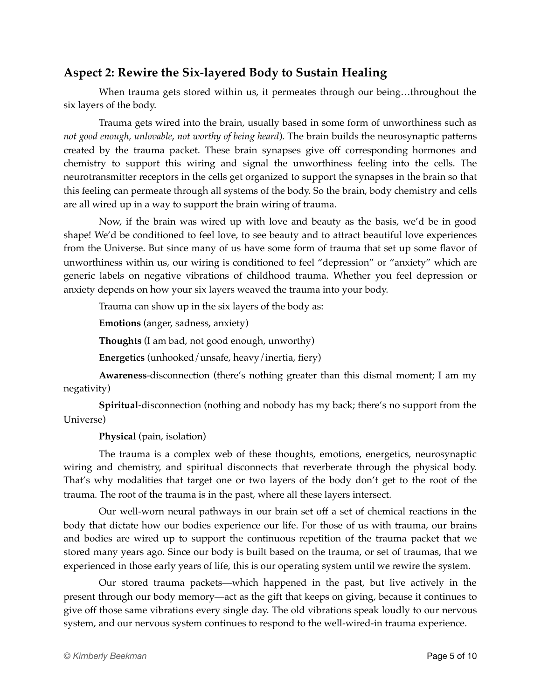## **Aspect 2: Rewire the Six-layered Body to Sustain Healing**

When trauma gets stored within us, it permeates through our being...throughout the six layers of the body.

Trauma gets wired into the brain, usually based in some form of unworthiness such as *not good enough*, *unlovable*, *not worthy of being heard*). The brain builds the neurosynaptic patterns created by the trauma packet. These brain synapses give off corresponding hormones and chemistry to support this wiring and signal the unworthiness feeling into the cells. The neurotransmitter receptors in the cells get organized to support the synapses in the brain so that this feeling can permeate through all systems of the body. So the brain, body chemistry and cells are all wired up in a way to support the brain wiring of trauma.

Now, if the brain was wired up with love and beauty as the basis, we'd be in good shape! We'd be conditioned to feel love, to see beauty and to attract beautiful love experiences from the Universe. But since many of us have some form of trauma that set up some flavor of unworthiness within us, our wiring is conditioned to feel "depression" or "anxiety" which are generic labels on negative vibrations of childhood trauma. Whether you feel depression or anxiety depends on how your six layers weaved the trauma into your body.

Trauma can show up in the six layers of the body as:

**Emotions** (anger, sadness, anxiety)

**Thoughts** (I am bad, not good enough, unworthy)

**Energetics** (unhooked/unsafe, heavy/inertia, fiery)

**Awareness**-disconnection (there's nothing greater than this dismal moment; I am my negativity)

**Spiritual**-disconnection (nothing and nobody has my back; there's no support from the Universe)

**Physical** (pain, isolation)

The trauma is a complex web of these thoughts, emotions, energetics, neurosynaptic wiring and chemistry, and spiritual disconnects that reverberate through the physical body. That's why modalities that target one or two layers of the body don't get to the root of the trauma. The root of the trauma is in the past, where all these layers intersect.

Our well-worn neural pathways in our brain set off a set of chemical reactions in the body that dictate how our bodies experience our life. For those of us with trauma, our brains and bodies are wired up to support the continuous repetition of the trauma packet that we stored many years ago. Since our body is built based on the trauma, or set of traumas, that we experienced in those early years of life, this is our operating system until we rewire the system.

Our stored trauma packets—which happened in the past, but live actively in the present through our body memory—act as the gift that keeps on giving, because it continues to give off those same vibrations every single day. The old vibrations speak loudly to our nervous system, and our nervous system continues to respond to the well-wired-in trauma experience.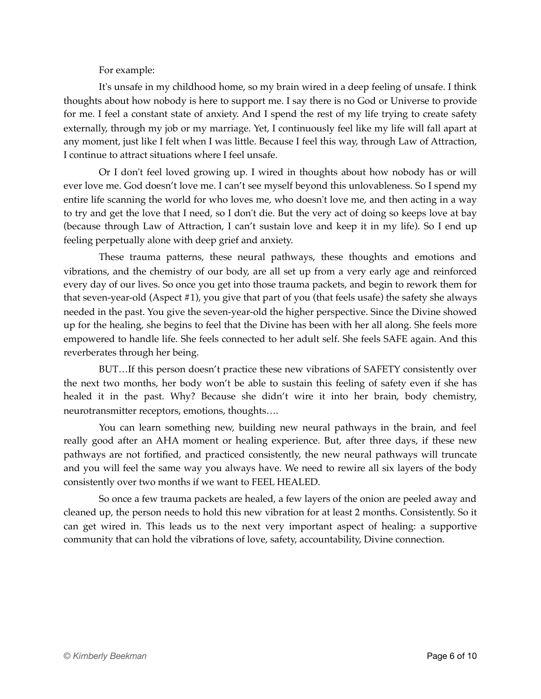For example:

It's unsafe in my childhood home, so my brain wired in a deep feeling of unsafe. I think thoughts about how nobody is here to support me. I say there is no God or Universe to provide for me. I feel a constant state of anxiety. And I spend the rest of my life trying to create safety externally, through my job or my marriage. Yet, I continuously feel like my life will fall apart at any moment, just like I felt when I was little. Because I feel this way, through Law of Attraction, I continue to attract situations where I feel unsafe.

Or I don't feel loved growing up. I wired in thoughts about how nobody has or will ever love me. God doesn't love me. I can't see myself beyond this unlovableness. So I spend my entire life scanning the world for who loves me, who doesn't love me, and then acting in a way to try and get the love that I need, so I don't die. But the very act of doing so keeps love at bay (because through Law of Attraction, I can't sustain love and keep it in my life). So I end up feeling perpetually alone with deep grief and anxiety.

These trauma patterns, these neural pathways, these thoughts and emotions and vibrations, and the chemistry of our body, are all set up from a very early age and reinforced every day of our lives. So once you get into those trauma packets, and begin to rework them for that seven-year-old (Aspect #1), you give that part of you (that feels usafe) the safety she always needed in the past. You give the seven-year-old the higher perspective. Since the Divine showed up for the healing, she begins to feel that the Divine has been with her all along. She feels more empowered to handle life. She feels connected to her adult self. She feels SAFE again. And this reverberates through her being.

BUT…If this person doesn't practice these new vibrations of SAFETY consistently over the next two months, her body won't be able to sustain this feeling of safety even if she has healed it in the past. Why? Because she didn't wire it into her brain, body chemistry, neurotransmitter receptors, emotions, thoughts….

You can learn something new, building new neural pathways in the brain, and feel really good after an AHA moment or healing experience. But, after three days, if these new pathways are not fortified, and practiced consistently, the new neural pathways will truncate and you will feel the same way you always have. We need to rewire all six layers of the body consistently over two months if we want to FEEL HEALED.

So once a few trauma packets are healed, a few layers of the onion are peeled away and cleaned up, the person needs to hold this new vibration for at least 2 months. Consistently. So it can get wired in. This leads us to the next very important aspect of healing: a supportive community that can hold the vibrations of love, safety, accountability, Divine connection.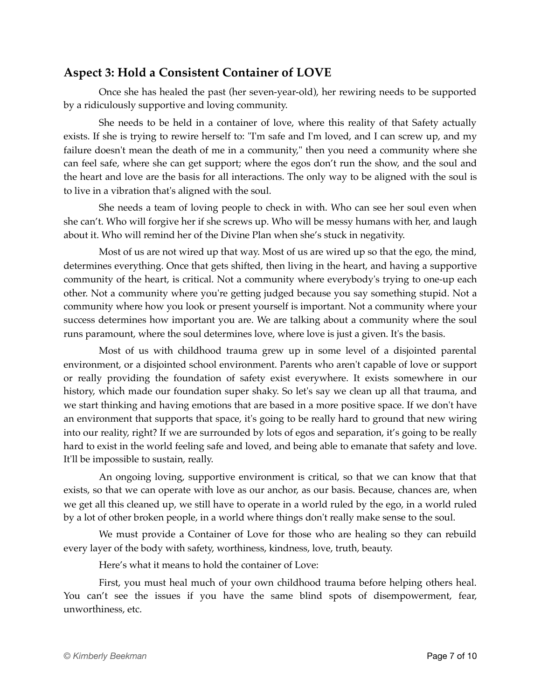## **Aspect 3: Hold a Consistent Container of LOVE**

Once she has healed the past (her seven-year-old), her rewiring needs to be supported by a ridiculously supportive and loving community.

She needs to be held in a container of love, where this reality of that Safety actually exists. If she is trying to rewire herself to: "I'm safe and I'm loved, and I can screw up, and my failure doesn't mean the death of me in a community," then you need a community where she can feel safe, where she can get support; where the egos don't run the show, and the soul and the heart and love are the basis for all interactions. The only way to be aligned with the soul is to live in a vibration that's aligned with the soul.

She needs a team of loving people to check in with. Who can see her soul even when she can't. Who will forgive her if she screws up. Who will be messy humans with her, and laugh about it. Who will remind her of the Divine Plan when she's stuck in negativity.

Most of us are not wired up that way. Most of us are wired up so that the ego, the mind, determines everything. Once that gets shifted, then living in the heart, and having a supportive community of the heart, is critical. Not a community where everybody's trying to one-up each other. Not a community where you're getting judged because you say something stupid. Not a community where how you look or present yourself is important. Not a community where your success determines how important you are. We are talking about a community where the soul runs paramount, where the soul determines love, where love is just a given. It's the basis.

Most of us with childhood trauma grew up in some level of a disjointed parental environment, or a disjointed school environment. Parents who aren't capable of love or support or really providing the foundation of safety exist everywhere. It exists somewhere in our history, which made our foundation super shaky. So let's say we clean up all that trauma, and we start thinking and having emotions that are based in a more positive space. If we don't have an environment that supports that space, it's going to be really hard to ground that new wiring into our reality, right? If we are surrounded by lots of egos and separation, it's going to be really hard to exist in the world feeling safe and loved, and being able to emanate that safety and love. It'll be impossible to sustain, really.

An ongoing loving, supportive environment is critical, so that we can know that that exists, so that we can operate with love as our anchor, as our basis. Because, chances are, when we get all this cleaned up, we still have to operate in a world ruled by the ego, in a world ruled by a lot of other broken people, in a world where things don't really make sense to the soul.

We must provide a Container of Love for those who are healing so they can rebuild every layer of the body with safety, worthiness, kindness, love, truth, beauty.

Here's what it means to hold the container of Love:

First, you must heal much of your own childhood trauma before helping others heal. You can't see the issues if you have the same blind spots of disempowerment, fear, unworthiness, etc.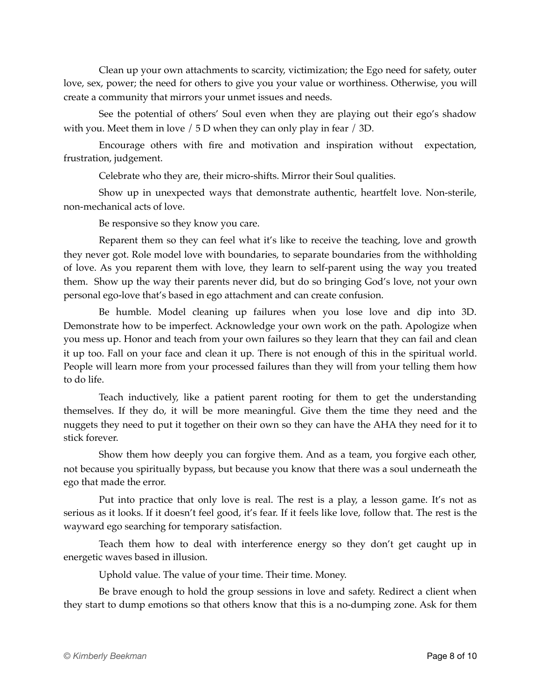Clean up your own attachments to scarcity, victimization; the Ego need for safety, outer love, sex, power; the need for others to give you your value or worthiness. Otherwise, you will create a community that mirrors your unmet issues and needs.

See the potential of others' Soul even when they are playing out their ego's shadow with you. Meet them in love / 5 D when they can only play in fear / 3D.

Encourage others with fire and motivation and inspiration without expectation, frustration, judgement.

Celebrate who they are, their micro-shifts. Mirror their Soul qualities.

Show up in unexpected ways that demonstrate authentic, heartfelt love. Non-sterile, non-mechanical acts of love.

Be responsive so they know you care.

Reparent them so they can feel what it's like to receive the teaching, love and growth they never got. Role model love with boundaries, to separate boundaries from the withholding of love. As you reparent them with love, they learn to self-parent using the way you treated them. Show up the way their parents never did, but do so bringing God's love, not your own personal ego-love that's based in ego attachment and can create confusion.

Be humble. Model cleaning up failures when you lose love and dip into 3D. Demonstrate how to be imperfect. Acknowledge your own work on the path. Apologize when you mess up. Honor and teach from your own failures so they learn that they can fail and clean it up too. Fall on your face and clean it up. There is not enough of this in the spiritual world. People will learn more from your processed failures than they will from your telling them how to do life.

Teach inductively, like a patient parent rooting for them to get the understanding themselves. If they do, it will be more meaningful. Give them the time they need and the nuggets they need to put it together on their own so they can have the AHA they need for it to stick forever.

Show them how deeply you can forgive them. And as a team, you forgive each other, not because you spiritually bypass, but because you know that there was a soul underneath the ego that made the error.

Put into practice that only love is real. The rest is a play, a lesson game. It's not as serious as it looks. If it doesn't feel good, it's fear. If it feels like love, follow that. The rest is the wayward ego searching for temporary satisfaction.

Teach them how to deal with interference energy so they don't get caught up in energetic waves based in illusion.

Uphold value. The value of your time. Their time. Money.

Be brave enough to hold the group sessions in love and safety. Redirect a client when they start to dump emotions so that others know that this is a no-dumping zone. Ask for them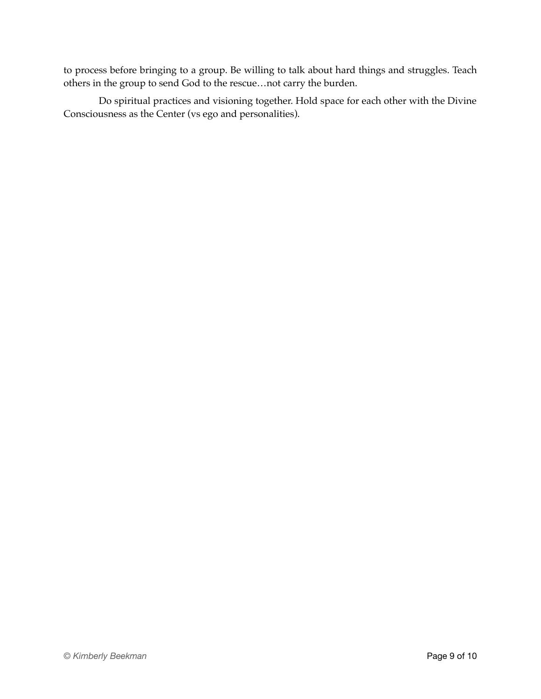to process before bringing to a group. Be willing to talk about hard things and struggles. Teach others in the group to send God to the rescue…not carry the burden.

Do spiritual practices and visioning together. Hold space for each other with the Divine Consciousness as the Center (vs ego and personalities).